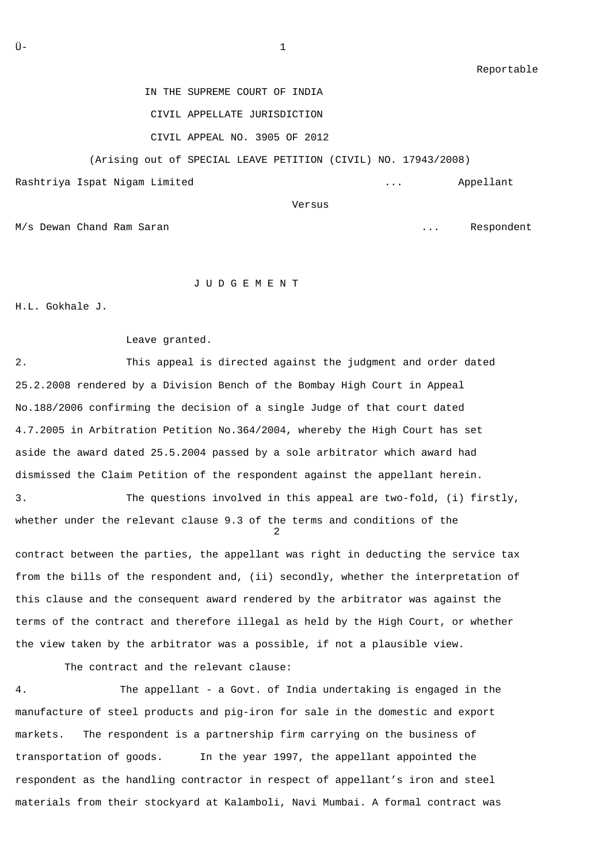Reportable

IN THE SUPREME COURT OF INDIA

CIVIL APPELLATE JURISDICTION

CIVIL APPEAL NO. 3905 OF 2012

(Arising out of SPECIAL LEAVE PETITION (CIVIL) NO. 17943/2008)

Rashtriya Ispat Nigam Limited ... Appellant

M/s Dewan Chand Ram Saran ... Respondent

J U D G E M E N T

H.L. Gokhale J.

Leave granted.

Versus

2. This appeal is directed against the judgment and order dated 25.2.2008 rendered by a Division Bench of the Bombay High Court in Appeal No.188/2006 confirming the decision of a single Judge of that court dated 4.7.2005 in Arbitration Petition No.364/2004, whereby the High Court has set aside the award dated 25.5.2004 passed by a sole arbitrator which award had dismissed the Claim Petition of the respondent against the appellant herein.

3. The questions involved in this appeal are two-fold, (i) firstly, whether under the relevant clause 9.3 of the terms and conditions of the 2

contract between the parties, the appellant was right in deducting the service tax from the bills of the respondent and, (ii) secondly, whether the interpretation of this clause and the consequent award rendered by the arbitrator was against the terms of the contract and therefore illegal as held by the High Court, or whether the view taken by the arbitrator was a possible, if not a plausible view.

The contract and the relevant clause:

4. The appellant - a Govt. of India undertaking is engaged in the manufacture of steel products and pig-iron for sale in the domestic and export markets. The respondent is a partnership firm carrying on the business of transportation of goods. In the year 1997, the appellant appointed the respondent as the handling contractor in respect of appellant's iron and steel materials from their stockyard at Kalamboli, Navi Mumbai. A formal contract was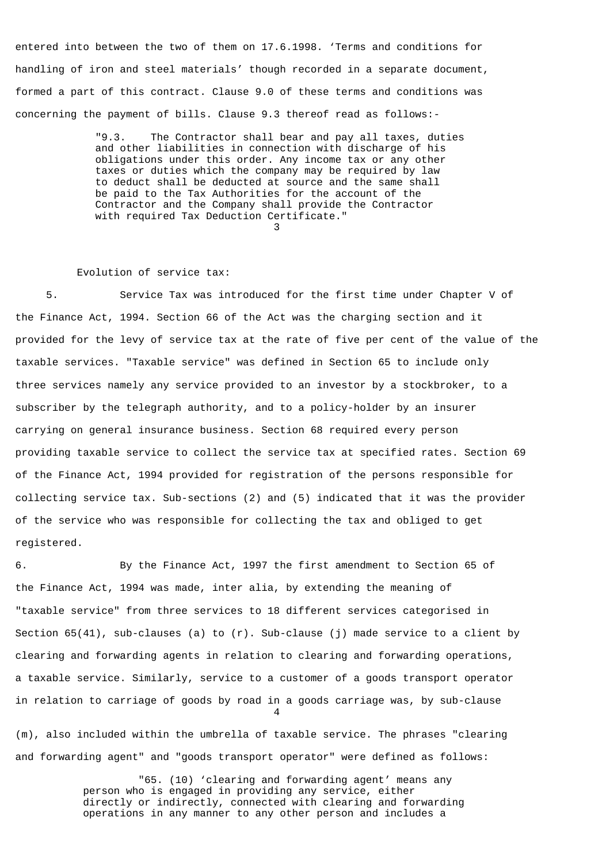entered into between the two of them on 17.6.1998. 'Terms and conditions for handling of iron and steel materials' though recorded in a separate document, formed a part of this contract. Clause 9.0 of these terms and conditions was concerning the payment of bills. Clause 9.3 thereof read as follows:-

 "9.3. The Contractor shall bear and pay all taxes, duties and other liabilities in connection with discharge of his obligations under this order. Any income tax or any other taxes or duties which the company may be required by law to deduct shall be deducted at source and the same shall be paid to the Tax Authorities for the account of the Contractor and the Company shall provide the Contractor with required Tax Deduction Certificate."  $\sim$  3

## Evolution of service tax:

 5. Service Tax was introduced for the first time under Chapter V of the Finance Act, 1994. Section 66 of the Act was the charging section and it provided for the levy of service tax at the rate of five per cent of the value of the taxable services. "Taxable service" was defined in Section 65 to include only three services namely any service provided to an investor by a stockbroker, to a subscriber by the telegraph authority, and to a policy-holder by an insurer carrying on general insurance business. Section 68 required every person providing taxable service to collect the service tax at specified rates. Section 69 of the Finance Act, 1994 provided for registration of the persons responsible for collecting service tax. Sub-sections (2) and (5) indicated that it was the provider of the service who was responsible for collecting the tax and obliged to get registered.

6. By the Finance Act, 1997 the first amendment to Section 65 of the Finance Act, 1994 was made, inter alia, by extending the meaning of "taxable service" from three services to 18 different services categorised in Section  $65(41)$ , sub-clauses (a) to  $(r)$ . Sub-clause (j) made service to a client by clearing and forwarding agents in relation to clearing and forwarding operations, a taxable service. Similarly, service to a customer of a goods transport operator in relation to carriage of goods by road in a goods carriage was, by sub-clause 4

(m), also included within the umbrella of taxable service. The phrases "clearing and forwarding agent" and "goods transport operator" were defined as follows:

> "65. (10) 'clearing and forwarding agent' means any person who is engaged in providing any service, either directly or indirectly, connected with clearing and forwarding operations in any manner to any other person and includes a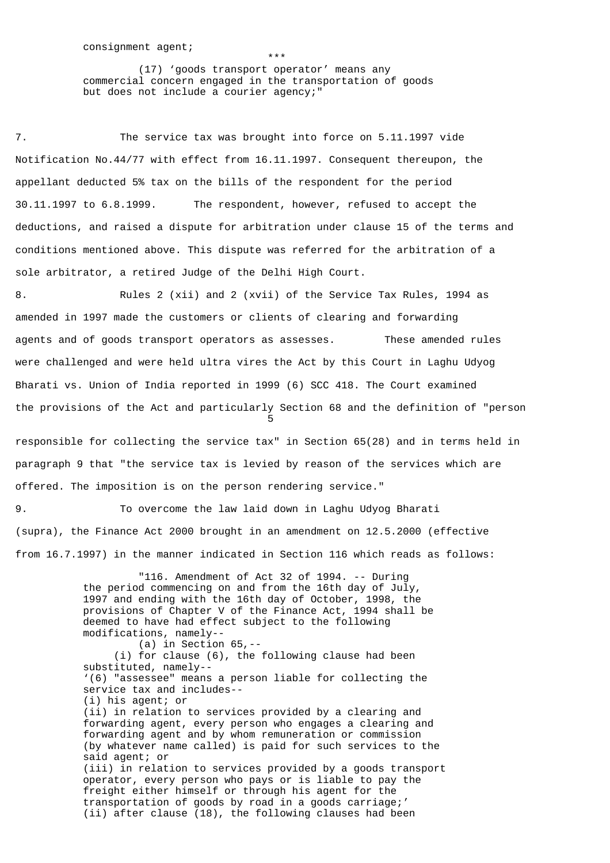\*\*\*

 (17) 'goods transport operator' means any commercial concern engaged in the transportation of goods but does not include a courier agency;"

7. The service tax was brought into force on 5.11.1997 vide Notification No.44/77 with effect from 16.11.1997. Consequent thereupon, the appellant deducted 5% tax on the bills of the respondent for the period 30.11.1997 to 6.8.1999. The respondent, however, refused to accept the deductions, and raised a dispute for arbitration under clause 15 of the terms and conditions mentioned above. This dispute was referred for the arbitration of a sole arbitrator, a retired Judge of the Delhi High Court.

8. Rules 2 (xii) and 2 (xvii) of the Service Tax Rules, 1994 as amended in 1997 made the customers or clients of clearing and forwarding agents and of goods transport operators as assesses. These amended rules were challenged and were held ultra vires the Act by this Court in Laghu Udyog Bharati vs. Union of India reported in 1999 (6) SCC 418. The Court examined the provisions of the Act and particularly Section 68 and the definition of "person the contract of the contract of the contract of the contract of the contract of the contract of the contract o

responsible for collecting the service tax" in Section 65(28) and in terms held in paragraph 9 that "the service tax is levied by reason of the services which are offered. The imposition is on the person rendering service."

9. To overcome the law laid down in Laghu Udyog Bharati (supra), the Finance Act 2000 brought in an amendment on 12.5.2000 (effective from 16.7.1997) in the manner indicated in Section 116 which reads as follows:

> "116. Amendment of Act 32 of 1994. -- During the period commencing on and from the 16th day of July, 1997 and ending with the 16th day of October, 1998, the provisions of Chapter V of the Finance Act, 1994 shall be deemed to have had effect subject to the following modifications, namely-- (a) in Section 65,--

 (i) for clause (6), the following clause had been substituted, namely-- '(6) "assessee" means a person liable for collecting the service tax and includes-- (i) his agent; or (ii) in relation to services provided by a clearing and forwarding agent, every person who engages a clearing and forwarding agent and by whom remuneration or commission (by whatever name called) is paid for such services to the said agent; or (iii) in relation to services provided by a goods transport operator, every person who pays or is liable to pay the freight either himself or through his agent for the transportation of goods by road in a goods carriage;' (ii) after clause (18), the following clauses had been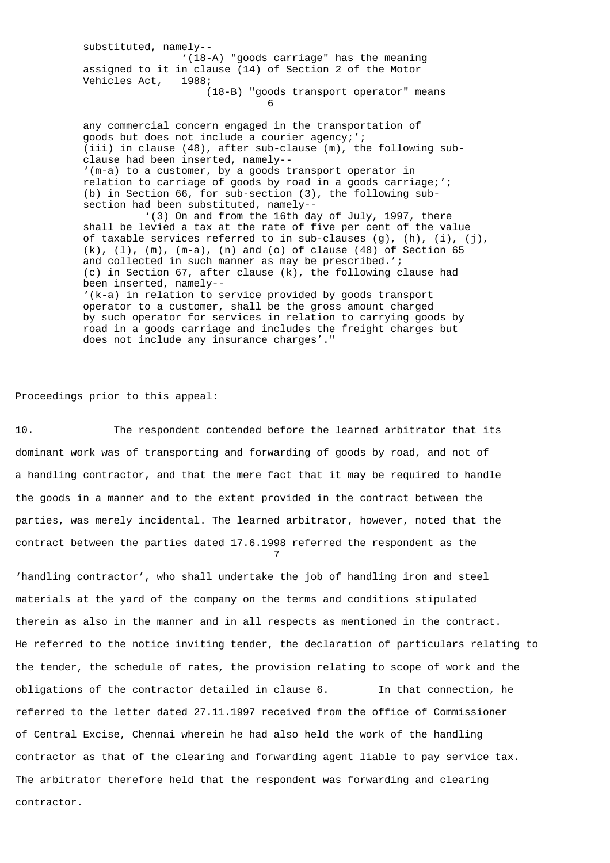substituted, namely-- '(18-A) "goods carriage" has the meaning assigned to it in clause (14) of Section 2 of the Motor Vehicles Act, 1988; (18-B) "goods transport operator" means  $\sim$  6 any commercial concern engaged in the transportation of goods but does not include a courier agency;'; (iii) in clause (48), after sub-clause (m), the following sub clause had been inserted, namely-- '(m-a) to a customer, by a goods transport operator in relation to carriage of goods by road in a goods carriage;'; (b) in Section 66, for sub-section (3), the following sub section had been substituted, namely-- '(3) On and from the 16th day of July, 1997, there shall be levied a tax at the rate of five per cent of the value of taxable services referred to in sub-clauses  $(g)$ ,  $(h)$ ,  $(i)$ ,  $(j)$ ,  $(k)$ ,  $(1)$ ,  $(m)$ ,  $(m-a)$ ,  $(n)$  and  $(o)$  of clause  $(48)$  of Section 65 and collected in such manner as may be prescribed.'; (c) in Section 67, after clause (k), the following clause had been inserted, namely-- '(k-a) in relation to service provided by goods transport operator to a customer, shall be the gross amount charged

 by such operator for services in relation to carrying goods by road in a goods carriage and includes the freight charges but does not include any insurance charges'."

Proceedings prior to this appeal:

10. The respondent contended before the learned arbitrator that its dominant work was of transporting and forwarding of goods by road, and not of a handling contractor, and that the mere fact that it may be required to handle the goods in a manner and to the extent provided in the contract between the parties, was merely incidental. The learned arbitrator, however, noted that the contract between the parties dated 17.6.1998 referred the respondent as the 7

'handling contractor', who shall undertake the job of handling iron and steel materials at the yard of the company on the terms and conditions stipulated therein as also in the manner and in all respects as mentioned in the contract. He referred to the notice inviting tender, the declaration of particulars relating to the tender, the schedule of rates, the provision relating to scope of work and the obligations of the contractor detailed in clause 6. In that connection, he referred to the letter dated 27.11.1997 received from the office of Commissioner of Central Excise, Chennai wherein he had also held the work of the handling contractor as that of the clearing and forwarding agent liable to pay service tax. The arbitrator therefore held that the respondent was forwarding and clearing contractor.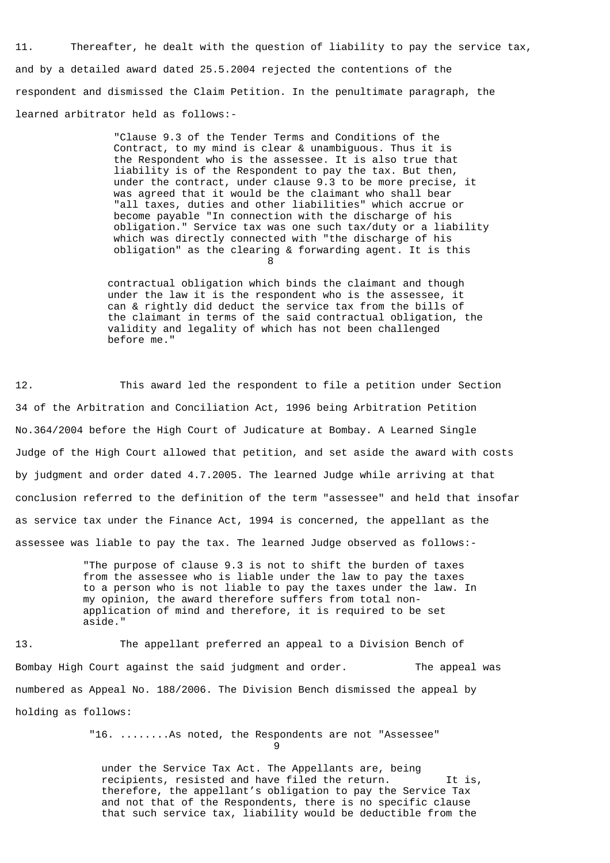11. Thereafter, he dealt with the question of liability to pay the service tax, and by a detailed award dated 25.5.2004 rejected the contentions of the respondent and dismissed the Claim Petition. In the penultimate paragraph, the learned arbitrator held as follows:-

 "Clause 9.3 of the Tender Terms and Conditions of the Contract, to my mind is clear & unambiguous. Thus it is the Respondent who is the assessee. It is also true that liability is of the Respondent to pay the tax. But then, under the contract, under clause 9.3 to be more precise, it was agreed that it would be the claimant who shall bear "all taxes, duties and other liabilities" which accrue or become payable "In connection with the discharge of his obligation." Service tax was one such tax/duty or a liability which was directly connected with "the discharge of his obligation" as the clearing & forwarding agent. It is this 8

> contractual obligation which binds the claimant and though under the law it is the respondent who is the assessee, it can & rightly did deduct the service tax from the bills of the claimant in terms of the said contractual obligation, the validity and legality of which has not been challenged before me."

12. This award led the respondent to file a petition under Section 34 of the Arbitration and Conciliation Act, 1996 being Arbitration Petition No.364/2004 before the High Court of Judicature at Bombay. A Learned Single Judge of the High Court allowed that petition, and set aside the award with costs by judgment and order dated 4.7.2005. The learned Judge while arriving at that conclusion referred to the definition of the term "assessee" and held that insofar as service tax under the Finance Act, 1994 is concerned, the appellant as the assessee was liable to pay the tax. The learned Judge observed as follows:-

> "The purpose of clause 9.3 is not to shift the burden of taxes from the assessee who is liable under the law to pay the taxes to a person who is not liable to pay the taxes under the law. In my opinion, the award therefore suffers from total non application of mind and therefore, it is required to be set aside."

13. The appellant preferred an appeal to a Division Bench of Bombay High Court against the said judgment and order. The appeal was numbered as Appeal No. 188/2006. The Division Bench dismissed the appeal by holding as follows:

 "16. ........As noted, the Respondents are not "Assessee" 9

> under the Service Tax Act. The Appellants are, being recipients, resisted and have filed the return. It is, therefore, the appellant's obligation to pay the Service Tax and not that of the Respondents, there is no specific clause that such service tax, liability would be deductible from the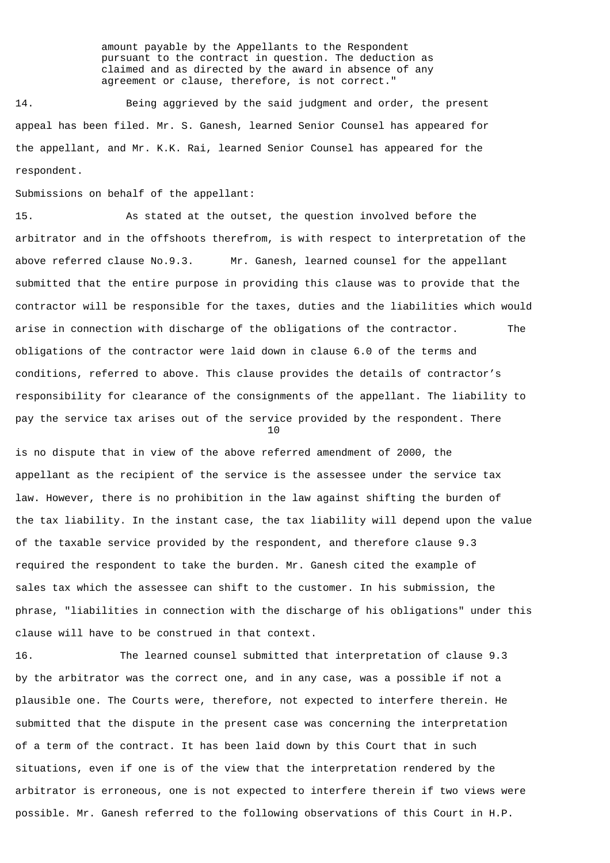amount payable by the Appellants to the Respondent pursuant to the contract in question. The deduction as claimed and as directed by the award in absence of any agreement or clause, therefore, is not correct."

14. Being aggrieved by the said judgment and order, the present appeal has been filed. Mr. S. Ganesh, learned Senior Counsel has appeared for the appellant, and Mr. K.K. Rai, learned Senior Counsel has appeared for the respondent.

Submissions on behalf of the appellant:

15. As stated at the outset, the question involved before the arbitrator and in the offshoots therefrom, is with respect to interpretation of the above referred clause No.9.3. Mr. Ganesh, learned counsel for the appellant submitted that the entire purpose in providing this clause was to provide that the contractor will be responsible for the taxes, duties and the liabilities which would arise in connection with discharge of the obligations of the contractor. The obligations of the contractor were laid down in clause 6.0 of the terms and conditions, referred to above. This clause provides the details of contractor's responsibility for clearance of the consignments of the appellant. The liability to pay the service tax arises out of the service provided by the respondent. There 10

is no dispute that in view of the above referred amendment of 2000, the appellant as the recipient of the service is the assessee under the service tax law. However, there is no prohibition in the law against shifting the burden of the tax liability. In the instant case, the tax liability will depend upon the value of the taxable service provided by the respondent, and therefore clause 9.3 required the respondent to take the burden. Mr. Ganesh cited the example of sales tax which the assessee can shift to the customer. In his submission, the phrase, "liabilities in connection with the discharge of his obligations" under this clause will have to be construed in that context.

16. The learned counsel submitted that interpretation of clause 9.3 by the arbitrator was the correct one, and in any case, was a possible if not a plausible one. The Courts were, therefore, not expected to interfere therein. He submitted that the dispute in the present case was concerning the interpretation of a term of the contract. It has been laid down by this Court that in such situations, even if one is of the view that the interpretation rendered by the arbitrator is erroneous, one is not expected to interfere therein if two views were possible. Mr. Ganesh referred to the following observations of this Court in H.P.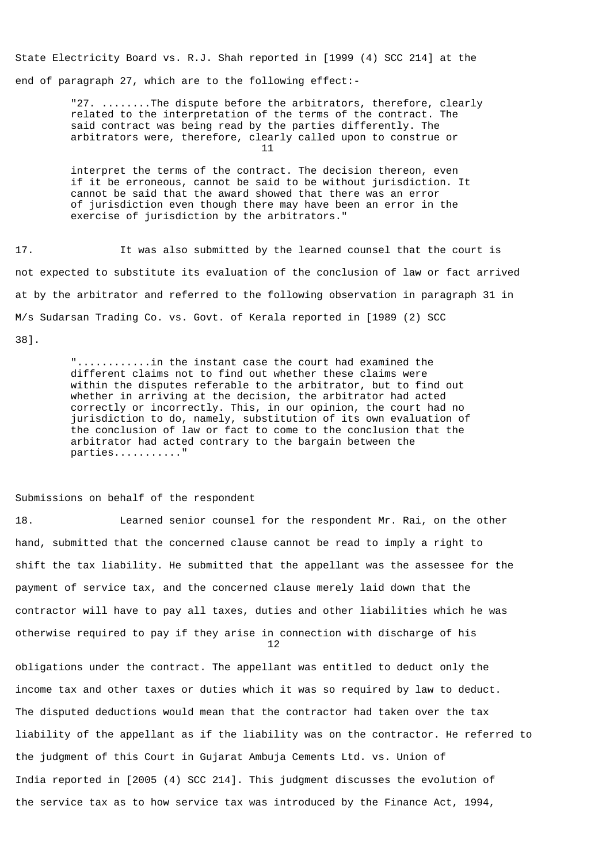State Electricity Board vs. R.J. Shah reported in [1999 (4) SCC 214] at the end of paragraph 27, which are to the following effect:-

 "27. ........The dispute before the arbitrators, therefore, clearly related to the interpretation of the terms of the contract. The said contract was being read by the parties differently. The arbitrators were, therefore, clearly called upon to construe or  $11$ 

> interpret the terms of the contract. The decision thereon, even if it be erroneous, cannot be said to be without jurisdiction. It cannot be said that the award showed that there was an error of jurisdiction even though there may have been an error in the exercise of jurisdiction by the arbitrators."

17. It was also submitted by the learned counsel that the court is not expected to substitute its evaluation of the conclusion of law or fact arrived at by the arbitrator and referred to the following observation in paragraph 31 in M/s Sudarsan Trading Co. vs. Govt. of Kerala reported in [1989 (2) SCC

38].

 "............in the instant case the court had examined the different claims not to find out whether these claims were within the disputes referable to the arbitrator, but to find out whether in arriving at the decision, the arbitrator had acted correctly or incorrectly. This, in our opinion, the court had no jurisdiction to do, namely, substitution of its own evaluation of the conclusion of law or fact to come to the conclusion that the arbitrator had acted contrary to the bargain between the parties..........."

## Submissions on behalf of the respondent

18. Learned senior counsel for the respondent Mr. Rai, on the other hand, submitted that the concerned clause cannot be read to imply a right to shift the tax liability. He submitted that the appellant was the assessee for the payment of service tax, and the concerned clause merely laid down that the contractor will have to pay all taxes, duties and other liabilities which he was otherwise required to pay if they arise in connection with discharge of his 12

obligations under the contract. The appellant was entitled to deduct only the income tax and other taxes or duties which it was so required by law to deduct. The disputed deductions would mean that the contractor had taken over the tax liability of the appellant as if the liability was on the contractor. He referred to the judgment of this Court in Gujarat Ambuja Cements Ltd. vs. Union of India reported in [2005 (4) SCC 214]. This judgment discusses the evolution of the service tax as to how service tax was introduced by the Finance Act, 1994,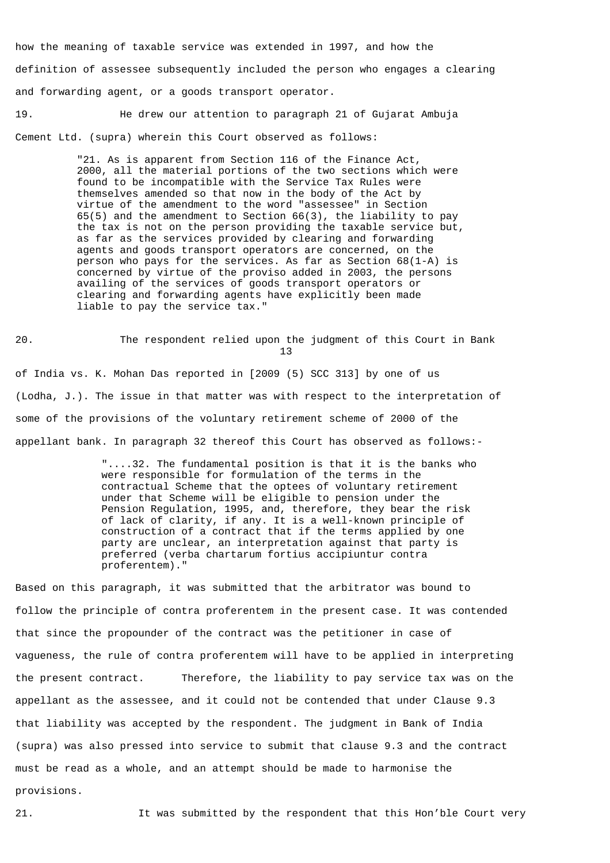how the meaning of taxable service was extended in 1997, and how the definition of assessee subsequently included the person who engages a clearing and forwarding agent, or a goods transport operator.

19. He drew our attention to paragraph 21 of Gujarat Ambuja Cement Ltd. (supra) wherein this Court observed as follows:

> "21. As is apparent from Section 116 of the Finance Act, 2000, all the material portions of the two sections which were found to be incompatible with the Service Tax Rules were themselves amended so that now in the body of the Act by virtue of the amendment to the word "assessee" in Section 65(5) and the amendment to Section 66(3), the liability to pay the tax is not on the person providing the taxable service but, as far as the services provided by clearing and forwarding agents and goods transport operators are concerned, on the person who pays for the services. As far as Section 68(1-A) is concerned by virtue of the proviso added in 2003, the persons availing of the services of goods transport operators or clearing and forwarding agents have explicitly been made liable to pay the service tax."

20. The respondent relied upon the judgment of this Court in Bank 13 of India vs. K. Mohan Das reported in [2009 (5) SCC 313] by one of us (Lodha, J.). The issue in that matter was with respect to the interpretation of some of the provisions of the voluntary retirement scheme of 2000 of the appellant bank. In paragraph 32 thereof this Court has observed as follows:-

> "....32. The fundamental position is that it is the banks who were responsible for formulation of the terms in the contractual Scheme that the optees of voluntary retirement under that Scheme will be eligible to pension under the Pension Regulation, 1995, and, therefore, they bear the risk of lack of clarity, if any. It is a well-known principle of construction of a contract that if the terms applied by one party are unclear, an interpretation against that party is preferred (verba chartarum fortius accipiuntur contra proferentem)."

Based on this paragraph, it was submitted that the arbitrator was bound to follow the principle of contra proferentem in the present case. It was contended that since the propounder of the contract was the petitioner in case of vagueness, the rule of contra proferentem will have to be applied in interpreting the present contract. Therefore, the liability to pay service tax was on the appellant as the assessee, and it could not be contended that under Clause 9.3 that liability was accepted by the respondent. The judgment in Bank of India (supra) was also pressed into service to submit that clause 9.3 and the contract must be read as a whole, and an attempt should be made to harmonise the provisions.

21. It was submitted by the respondent that this Hon'ble Court very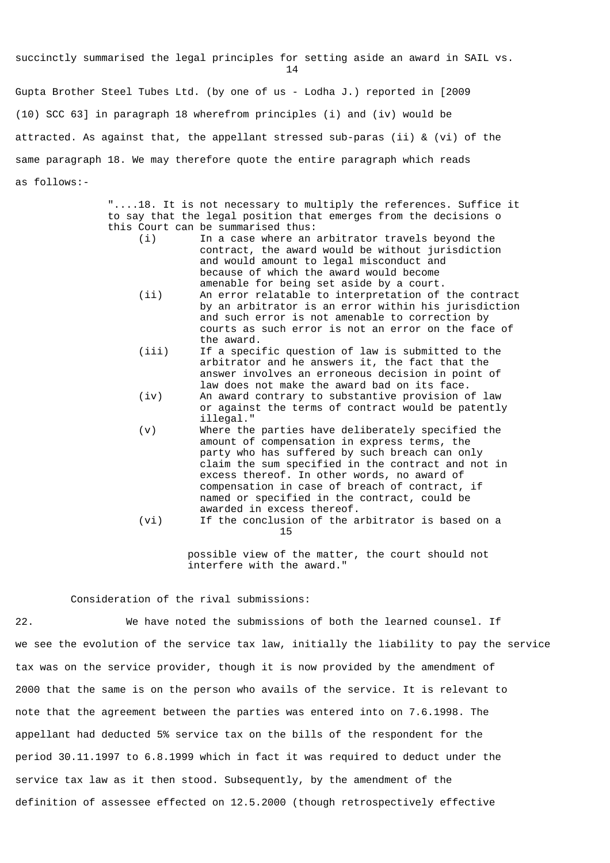succinctly summarised the legal principles for setting aside an award in SAIL vs. 14

Gupta Brother Steel Tubes Ltd. (by one of us - Lodha J.) reported in [2009 (10) SCC 63] in paragraph 18 wherefrom principles (i) and (iv) would be attracted. As against that, the appellant stressed sub-paras (ii) & (vi) of the same paragraph 18. We may therefore quote the entire paragraph which reads as follows:-

> "....18. It is not necessary to multiply the references. Suffice it to say that the legal position that emerges from the decisions o this Court can be summarised thus:

- (i) In a case where an arbitrator travels beyond the contract, the award would be without jurisdiction and would amount to legal misconduct and because of which the award would become amenable for being set aside by a court.
- (ii) An error relatable to interpretation of the contract by an arbitrator is an error within his jurisdiction and such error is not amenable to correction by courts as such error is not an error on the face of the award.
- (iii) If a specific question of law is submitted to the arbitrator and he answers it, the fact that the answer involves an erroneous decision in point of law does not make the award bad on its face.
- (iv) An award contrary to substantive provision of law or against the terms of contract would be patently illegal."
- (v) Where the parties have deliberately specified the amount of compensation in express terms, the party who has suffered by such breach can only claim the sum specified in the contract and not in excess thereof. In other words, no award of compensation in case of breach of contract, if named or specified in the contract, could be awarded in excess thereof.
- (vi) If the conclusion of the arbitrator is based on a 15

 possible view of the matter, the court should not interfere with the award."

## Consideration of the rival submissions:

22. We have noted the submissions of both the learned counsel. If we see the evolution of the service tax law, initially the liability to pay the service tax was on the service provider, though it is now provided by the amendment of 2000 that the same is on the person who avails of the service. It is relevant to note that the agreement between the parties was entered into on 7.6.1998. The appellant had deducted 5% service tax on the bills of the respondent for the period 30.11.1997 to 6.8.1999 which in fact it was required to deduct under the service tax law as it then stood. Subsequently, by the amendment of the definition of assessee effected on 12.5.2000 (though retrospectively effective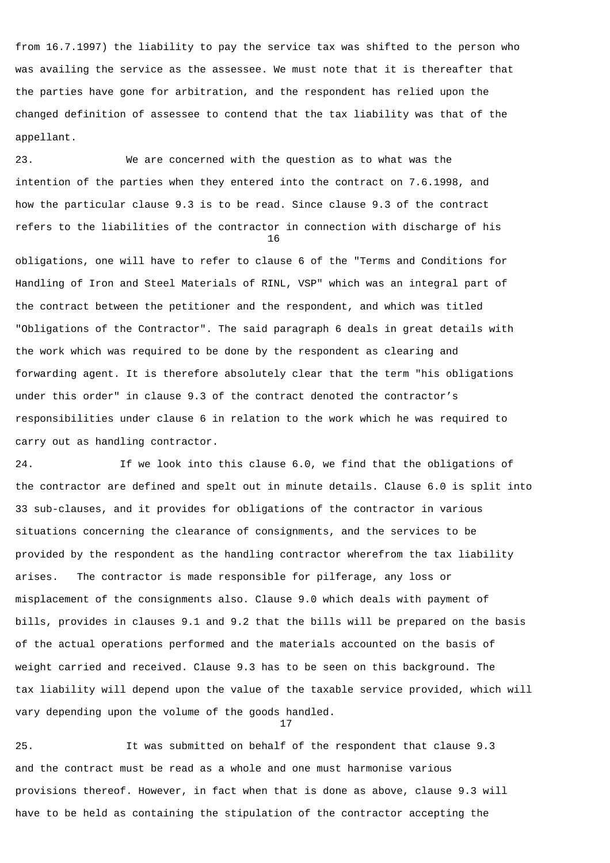from 16.7.1997) the liability to pay the service tax was shifted to the person who was availing the service as the assessee. We must note that it is thereafter that the parties have gone for arbitration, and the respondent has relied upon the changed definition of assessee to contend that the tax liability was that of the appellant.

23. We are concerned with the question as to what was the intention of the parties when they entered into the contract on 7.6.1998, and how the particular clause 9.3 is to be read. Since clause 9.3 of the contract refers to the liabilities of the contractor in connection with discharge of his 16

obligations, one will have to refer to clause 6 of the "Terms and Conditions for Handling of Iron and Steel Materials of RINL, VSP" which was an integral part of the contract between the petitioner and the respondent, and which was titled "Obligations of the Contractor". The said paragraph 6 deals in great details with the work which was required to be done by the respondent as clearing and forwarding agent. It is therefore absolutely clear that the term "his obligations under this order" in clause 9.3 of the contract denoted the contractor's responsibilities under clause 6 in relation to the work which he was required to carry out as handling contractor.

24. If we look into this clause 6.0, we find that the obligations of the contractor are defined and spelt out in minute details. Clause 6.0 is split into 33 sub-clauses, and it provides for obligations of the contractor in various situations concerning the clearance of consignments, and the services to be provided by the respondent as the handling contractor wherefrom the tax liability arises. The contractor is made responsible for pilferage, any loss or misplacement of the consignments also. Clause 9.0 which deals with payment of bills, provides in clauses 9.1 and 9.2 that the bills will be prepared on the basis of the actual operations performed and the materials accounted on the basis of weight carried and received. Clause 9.3 has to be seen on this background. The tax liability will depend upon the value of the taxable service provided, which will vary depending upon the volume of the goods handled. 17

25. It was submitted on behalf of the respondent that clause 9.3 and the contract must be read as a whole and one must harmonise various provisions thereof. However, in fact when that is done as above, clause 9.3 will have to be held as containing the stipulation of the contractor accepting the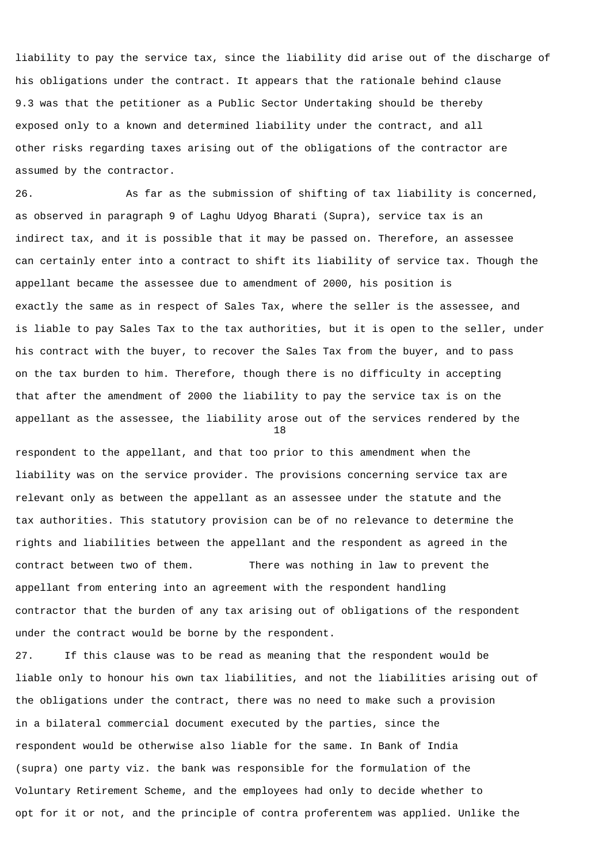liability to pay the service tax, since the liability did arise out of the discharge of his obligations under the contract. It appears that the rationale behind clause 9.3 was that the petitioner as a Public Sector Undertaking should be thereby exposed only to a known and determined liability under the contract, and all other risks regarding taxes arising out of the obligations of the contractor are assumed by the contractor.

26. As far as the submission of shifting of tax liability is concerned, as observed in paragraph 9 of Laghu Udyog Bharati (Supra), service tax is an indirect tax, and it is possible that it may be passed on. Therefore, an assessee can certainly enter into a contract to shift its liability of service tax. Though the appellant became the assessee due to amendment of 2000, his position is exactly the same as in respect of Sales Tax, where the seller is the assessee, and is liable to pay Sales Tax to the tax authorities, but it is open to the seller, under his contract with the buyer, to recover the Sales Tax from the buyer, and to pass on the tax burden to him. Therefore, though there is no difficulty in accepting that after the amendment of 2000 the liability to pay the service tax is on the appellant as the assessee, the liability arose out of the services rendered by the 18

respondent to the appellant, and that too prior to this amendment when the liability was on the service provider. The provisions concerning service tax are relevant only as between the appellant as an assessee under the statute and the tax authorities. This statutory provision can be of no relevance to determine the rights and liabilities between the appellant and the respondent as agreed in the contract between two of them. There was nothing in law to prevent the appellant from entering into an agreement with the respondent handling contractor that the burden of any tax arising out of obligations of the respondent under the contract would be borne by the respondent.

27. If this clause was to be read as meaning that the respondent would be liable only to honour his own tax liabilities, and not the liabilities arising out of the obligations under the contract, there was no need to make such a provision in a bilateral commercial document executed by the parties, since the respondent would be otherwise also liable for the same. In Bank of India (supra) one party viz. the bank was responsible for the formulation of the Voluntary Retirement Scheme, and the employees had only to decide whether to opt for it or not, and the principle of contra proferentem was applied. Unlike the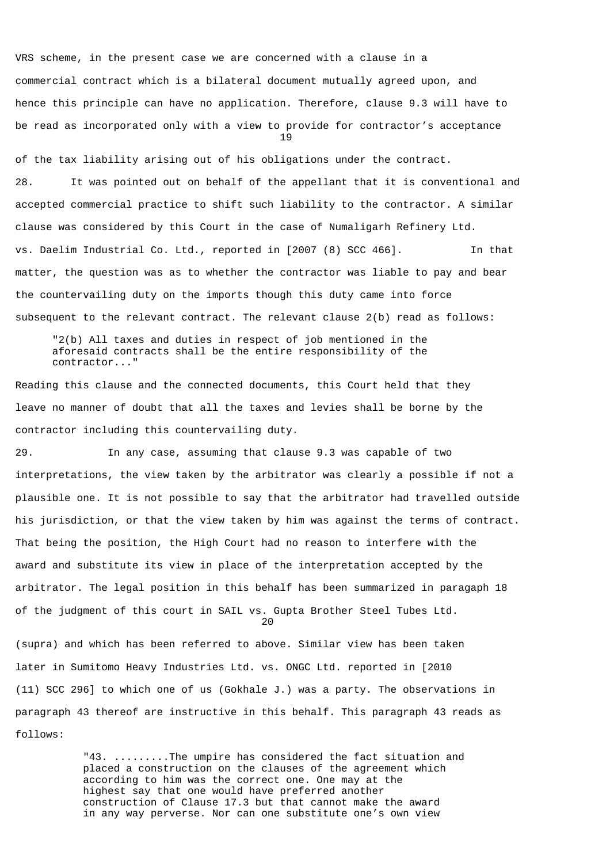VRS scheme, in the present case we are concerned with a clause in a commercial contract which is a bilateral document mutually agreed upon, and hence this principle can have no application. Therefore, clause 9.3 will have to be read as incorporated only with a view to provide for contractor's acceptance 19

of the tax liability arising out of his obligations under the contract. 28. It was pointed out on behalf of the appellant that it is conventional and accepted commercial practice to shift such liability to the contractor. A similar clause was considered by this Court in the case of Numaligarh Refinery Ltd. vs. Daelim Industrial Co. Ltd., reported in [2007 (8) SCC 466]. In that matter, the question was as to whether the contractor was liable to pay and bear the countervailing duty on the imports though this duty came into force subsequent to the relevant contract. The relevant clause 2(b) read as follows:

 "2(b) All taxes and duties in respect of job mentioned in the aforesaid contracts shall be the entire responsibility of the contractor..."

Reading this clause and the connected documents, this Court held that they leave no manner of doubt that all the taxes and levies shall be borne by the contractor including this countervailing duty.

29. In any case, assuming that clause 9.3 was capable of two interpretations, the view taken by the arbitrator was clearly a possible if not a plausible one. It is not possible to say that the arbitrator had travelled outside his jurisdiction, or that the view taken by him was against the terms of contract. That being the position, the High Court had no reason to interfere with the award and substitute its view in place of the interpretation accepted by the arbitrator. The legal position in this behalf has been summarized in paragaph 18 of the judgment of this court in SAIL vs. Gupta Brother Steel Tubes Ltd. 20

(supra) and which has been referred to above. Similar view has been taken later in Sumitomo Heavy Industries Ltd. vs. ONGC Ltd. reported in [2010 (11) SCC 296] to which one of us (Gokhale J.) was a party. The observations in paragraph 43 thereof are instructive in this behalf. This paragraph 43 reads as follows:

> "43. .........The umpire has considered the fact situation and placed a construction on the clauses of the agreement which according to him was the correct one. One may at the highest say that one would have preferred another construction of Clause 17.3 but that cannot make the award in any way perverse. Nor can one substitute one's own view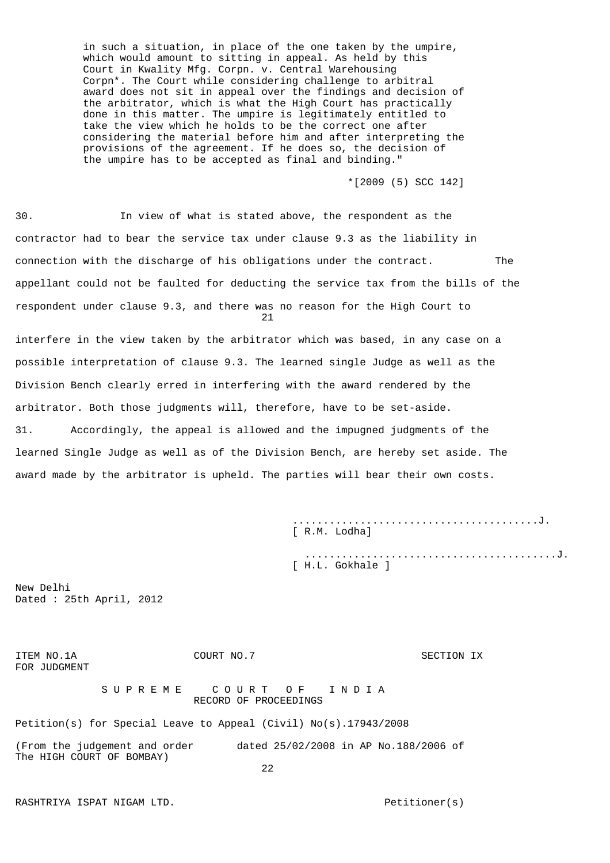in such a situation, in place of the one taken by the umpire, which would amount to sitting in appeal. As held by this Court in Kwality Mfg. Corpn. v. Central Warehousing Corpn\*. The Court while considering challenge to arbitral award does not sit in appeal over the findings and decision of the arbitrator, which is what the High Court has practically done in this matter. The umpire is legitimately entitled to take the view which he holds to be the correct one after considering the material before him and after interpreting the provisions of the agreement. If he does so, the decision of the umpire has to be accepted as final and binding."

\*[2009 (5) SCC 142]

30. In view of what is stated above, the respondent as the contractor had to bear the service tax under clause 9.3 as the liability in connection with the discharge of his obligations under the contract. The appellant could not be faulted for deducting the service tax from the bills of the respondent under clause 9.3, and there was no reason for the High Court to 21

interfere in the view taken by the arbitrator which was based, in any case on a possible interpretation of clause 9.3. The learned single Judge as well as the Division Bench clearly erred in interfering with the award rendered by the arbitrator. Both those judgments will, therefore, have to be set-aside. 31. Accordingly, the appeal is allowed and the impugned judgments of the learned Single Judge as well as of the Division Bench, are hereby set aside. The award made by the arbitrator is upheld. The parties will bear their own costs.

> ........................................J. [ R.M. Lodha]

 .........................................J. [ H.L. Gokhale ]

New Delhi Dated : 25th April, 2012

ITEM NO.1A COURT NO.7 SECTION IX FOR JUDGMENT S U P R E M E C O U R T O F T N D I A RECORD OF PROCEEDINGS Petition(s) for Special Leave to Appeal (Civil) No(s).17943/2008 (From the judgement and order dated 25/02/2008 in AP No.188/2006 of The HIGH COURT OF BOMBAY) <u>22</u>

RASHTRIYA ISPAT NIGAM LTD. Petitioner(s)